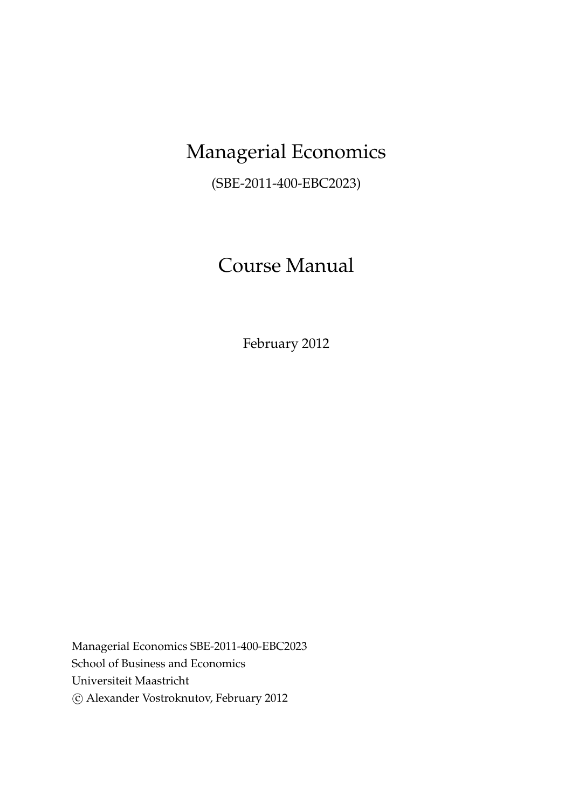# Managerial Economics

(SBE-2011-400-EBC2023)

# Course Manual

February 2012

Managerial Economics SBE-2011-400-EBC2023 School of Business and Economics Universiteit Maastricht c Alexander Vostroknutov, February 2012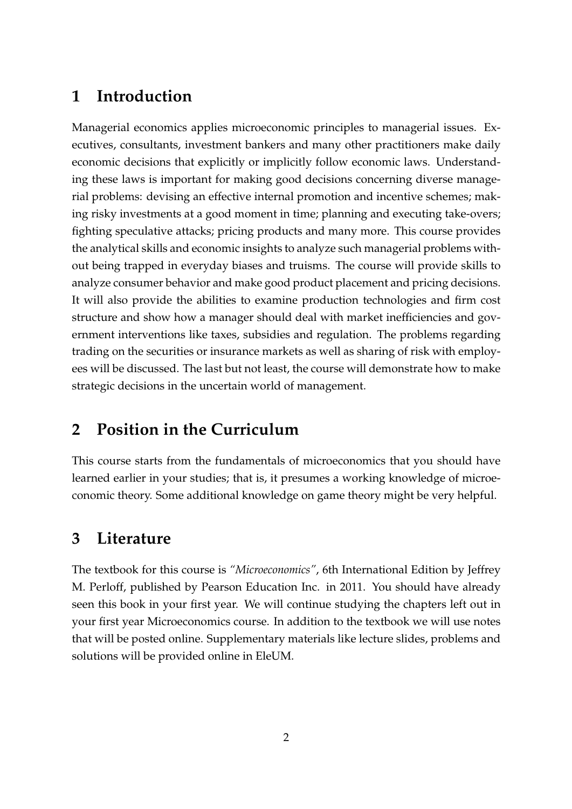## **1 Introduction**

Managerial economics applies microeconomic principles to managerial issues. Executives, consultants, investment bankers and many other practitioners make daily economic decisions that explicitly or implicitly follow economic laws. Understanding these laws is important for making good decisions concerning diverse managerial problems: devising an effective internal promotion and incentive schemes; making risky investments at a good moment in time; planning and executing take-overs; fighting speculative attacks; pricing products and many more. This course provides the analytical skills and economic insights to analyze such managerial problems without being trapped in everyday biases and truisms. The course will provide skills to analyze consumer behavior and make good product placement and pricing decisions. It will also provide the abilities to examine production technologies and firm cost structure and show how a manager should deal with market inefficiencies and government interventions like taxes, subsidies and regulation. The problems regarding trading on the securities or insurance markets as well as sharing of risk with employees will be discussed. The last but not least, the course will demonstrate how to make strategic decisions in the uncertain world of management.

# **2 Position in the Curriculum**

This course starts from the fundamentals of microeconomics that you should have learned earlier in your studies; that is, it presumes a working knowledge of microeconomic theory. Some additional knowledge on game theory might be very helpful.

## **3 Literature**

The textbook for this course is *"Microeconomics"*, 6th International Edition by Jeffrey M. Perloff, published by Pearson Education Inc. in 2011. You should have already seen this book in your first year. We will continue studying the chapters left out in your first year Microeconomics course. In addition to the textbook we will use notes that will be posted online. Supplementary materials like lecture slides, problems and solutions will be provided online in EleUM.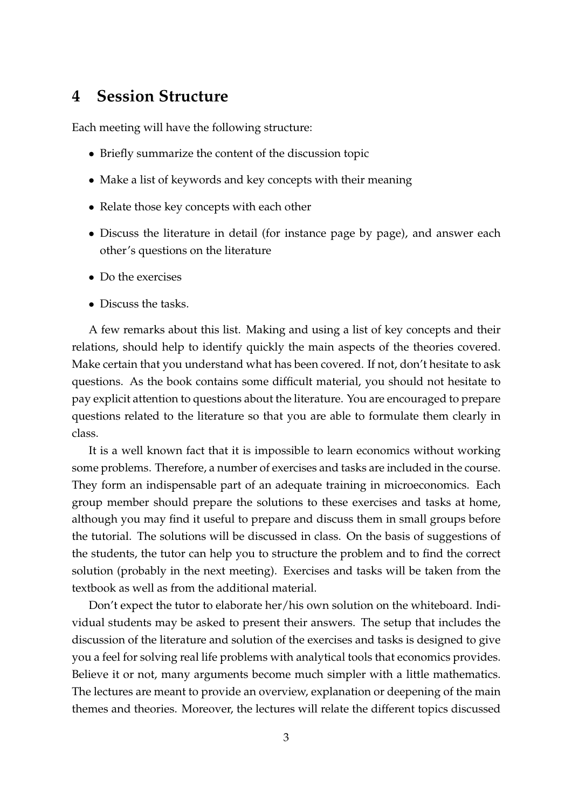#### **4 Session Structure**

Each meeting will have the following structure:

- Briefly summarize the content of the discussion topic
- Make a list of keywords and key concepts with their meaning
- Relate those key concepts with each other
- Discuss the literature in detail (for instance page by page), and answer each other's questions on the literature
- Do the exercises
- Discuss the tasks.

A few remarks about this list. Making and using a list of key concepts and their relations, should help to identify quickly the main aspects of the theories covered. Make certain that you understand what has been covered. If not, don't hesitate to ask questions. As the book contains some difficult material, you should not hesitate to pay explicit attention to questions about the literature. You are encouraged to prepare questions related to the literature so that you are able to formulate them clearly in class.

It is a well known fact that it is impossible to learn economics without working some problems. Therefore, a number of exercises and tasks are included in the course. They form an indispensable part of an adequate training in microeconomics. Each group member should prepare the solutions to these exercises and tasks at home, although you may find it useful to prepare and discuss them in small groups before the tutorial. The solutions will be discussed in class. On the basis of suggestions of the students, the tutor can help you to structure the problem and to find the correct solution (probably in the next meeting). Exercises and tasks will be taken from the textbook as well as from the additional material.

Don't expect the tutor to elaborate her/his own solution on the whiteboard. Individual students may be asked to present their answers. The setup that includes the discussion of the literature and solution of the exercises and tasks is designed to give you a feel for solving real life problems with analytical tools that economics provides. Believe it or not, many arguments become much simpler with a little mathematics. The lectures are meant to provide an overview, explanation or deepening of the main themes and theories. Moreover, the lectures will relate the different topics discussed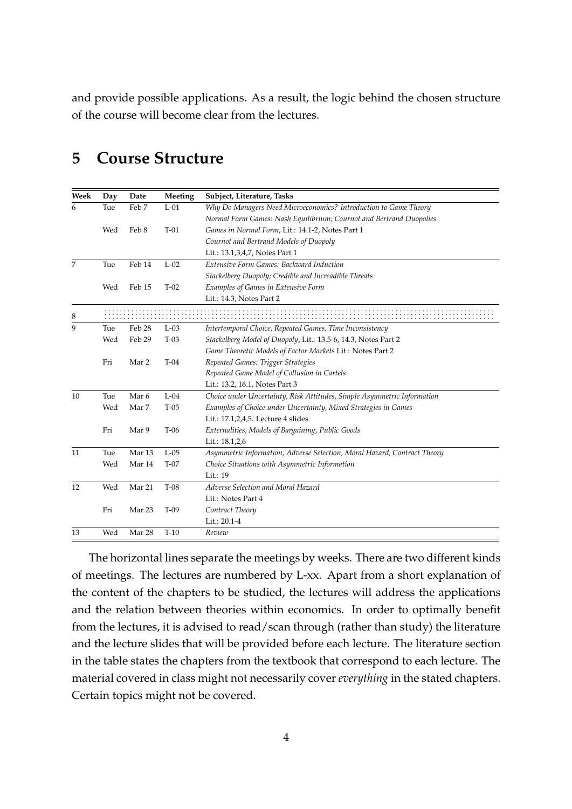and provide possible applications. As a result, the logic behind the chosen structure of the course will become clear from the lectures.

| Week | Day | Date              | Meeting | Subject, Literature, Tasks                                               |
|------|-----|-------------------|---------|--------------------------------------------------------------------------|
| 6    | Tue | Feb 7             | $L-01$  | Why Do Managers Need Microeconomics? Introduction to Game Theory         |
|      |     |                   |         | Normal Form Games: Nash Equilibrium; Cournot and Bertrand Duopolies      |
|      | Wed | Feb 8             | $T-01$  | Games in Normal Form, Lit.: 14.1-2, Notes Part 1                         |
|      |     |                   |         | Cournot and Bertrand Models of Duopoly                                   |
|      |     |                   |         | Lit.: 13.1,3,4,7, Notes Part 1                                           |
| 7    | Tue | Feb 14            | $L-02$  | Extensive Form Games: Backward Induction                                 |
|      |     |                   |         | Stackelberg Duopoly; Credible and Increadible Threats                    |
|      | Wed | Feb 15            | $T-02$  | Examples of Games in Extensive Form                                      |
|      |     |                   |         | Lit.: 14.3, Notes Part 2                                                 |
| 8    |     |                   |         |                                                                          |
| 9    | Tue | Feb 28            | $L-03$  | Intertemporal Choice, Repeated Games, Time Inconsistency                 |
|      | Wed | Feb 29            | $T-03$  | Stackelberg Model of Duopoly, Lit.: 13.5-6, 14.3, Notes Part 2           |
|      |     |                   |         | Game Theoretic Models of Factor Markets Lit.: Notes Part 2               |
|      | Fri | Mar 2             | $T-04$  | Repeated Games: Trigger Strategies                                       |
|      |     |                   |         | Repeated Game Model of Collusion in Cartels                              |
|      |     |                   |         | Lit.: 13.2, 16.1, Notes Part 3                                           |
| 10   | Tue | Mar 6             | $L-04$  | Choice under Uncertainty, Risk Attitudes, Simple Asymmetric Information  |
|      | Wed | Mar 7             | $T-05$  | Examples of Choice under Uncertainty, Mixed Strategies in Games          |
|      |     |                   |         | Lit.: 17.1,2,4,5. Lecture 4 slides                                       |
|      | Fri | Mar 9             | $T-06$  | Externalities, Models of Bargaining, Public Goods                        |
|      |     |                   |         | Lit.: 18.1,2,6                                                           |
| 11   | Tue | Mar <sub>13</sub> | $L-05$  | Asymmetric Information, Adverse Selection, Moral Hazard, Contract Theory |
|      | Wed | Mar 14            | $T-07$  | Choice Situations with Asymmetric Information                            |
|      |     |                   |         | Lit.: 19                                                                 |
| 12   | Wed | Mar 21            | $T-08$  | Adverse Selection and Moral Hazard                                       |
|      |     |                   |         | Lit.: Notes Part 4                                                       |
|      | Fri | Mar 23            | $T-09$  | Contract Theory                                                          |
|      |     |                   |         | Lit.: 20.1-4                                                             |
| 13   | Wed | Mar 28            | $T-10$  | Review                                                                   |

### **5 Course Structure**

The horizontal lines separate the meetings by weeks. There are two different kinds of meetings. The lectures are numbered by L-xx. Apart from a short explanation of the content of the chapters to be studied, the lectures will address the applications and the relation between theories within economics. In order to optimally benefit from the lectures, it is advised to read/scan through (rather than study) the literature and the lecture slides that will be provided before each lecture. The literature section in the table states the chapters from the textbook that correspond to each lecture. The material covered in class might not necessarily cover *everything* in the stated chapters. Certain topics might not be covered.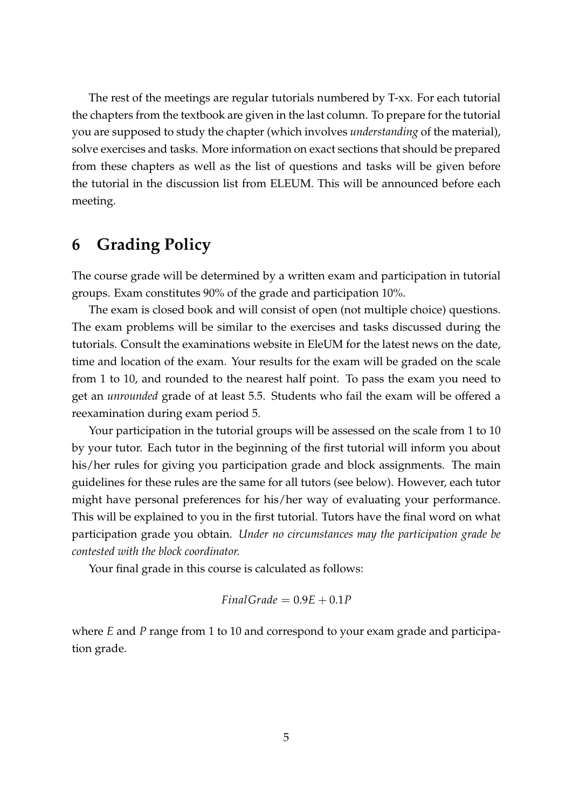The rest of the meetings are regular tutorials numbered by T-xx. For each tutorial the chapters from the textbook are given in the last column. To prepare for the tutorial you are supposed to study the chapter (which involves *understanding* of the material), solve exercises and tasks. More information on exact sections that should be prepared from these chapters as well as the list of questions and tasks will be given before the tutorial in the discussion list from ELEUM. This will be announced before each meeting.

#### **6 Grading Policy**

The course grade will be determined by a written exam and participation in tutorial groups. Exam constitutes 90% of the grade and participation 10%.

The exam is closed book and will consist of open (not multiple choice) questions. The exam problems will be similar to the exercises and tasks discussed during the tutorials. Consult the examinations website in EleUM for the latest news on the date, time and location of the exam. Your results for the exam will be graded on the scale from 1 to 10, and rounded to the nearest half point. To pass the exam you need to get an *unrounded* grade of at least 5.5. Students who fail the exam will be offered a reexamination during exam period 5.

Your participation in the tutorial groups will be assessed on the scale from 1 to 10 by your tutor. Each tutor in the beginning of the first tutorial will inform you about his/her rules for giving you participation grade and block assignments. The main guidelines for these rules are the same for all tutors (see below). However, each tutor might have personal preferences for his/her way of evaluating your performance. This will be explained to you in the first tutorial. Tutors have the final word on what participation grade you obtain. *Under no circumstances may the participation grade be contested with the block coordinator.*

Your final grade in this course is calculated as follows:

$$
FinalGrade = 0.9E + 0.1P
$$

where *E* and *P* range from 1 to 10 and correspond to your exam grade and participation grade.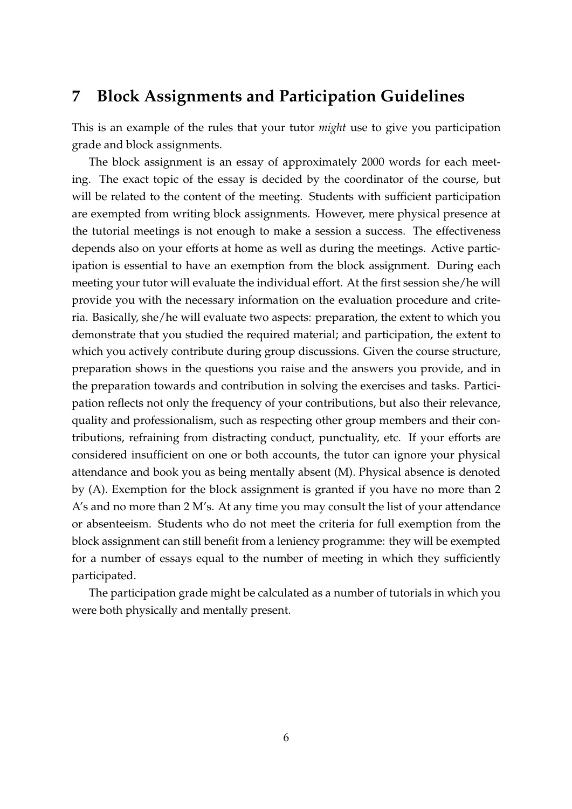#### **7 Block Assignments and Participation Guidelines**

This is an example of the rules that your tutor *might* use to give you participation grade and block assignments.

The block assignment is an essay of approximately 2000 words for each meeting. The exact topic of the essay is decided by the coordinator of the course, but will be related to the content of the meeting. Students with sufficient participation are exempted from writing block assignments. However, mere physical presence at the tutorial meetings is not enough to make a session a success. The effectiveness depends also on your efforts at home as well as during the meetings. Active participation is essential to have an exemption from the block assignment. During each meeting your tutor will evaluate the individual effort. At the first session she/he will provide you with the necessary information on the evaluation procedure and criteria. Basically, she/he will evaluate two aspects: preparation, the extent to which you demonstrate that you studied the required material; and participation, the extent to which you actively contribute during group discussions. Given the course structure, preparation shows in the questions you raise and the answers you provide, and in the preparation towards and contribution in solving the exercises and tasks. Participation reflects not only the frequency of your contributions, but also their relevance, quality and professionalism, such as respecting other group members and their contributions, refraining from distracting conduct, punctuality, etc. If your efforts are considered insufficient on one or both accounts, the tutor can ignore your physical attendance and book you as being mentally absent (M). Physical absence is denoted by (A). Exemption for the block assignment is granted if you have no more than 2 A's and no more than 2 M's. At any time you may consult the list of your attendance or absenteeism. Students who do not meet the criteria for full exemption from the block assignment can still benefit from a leniency programme: they will be exempted for a number of essays equal to the number of meeting in which they sufficiently participated.

The participation grade might be calculated as a number of tutorials in which you were both physically and mentally present.